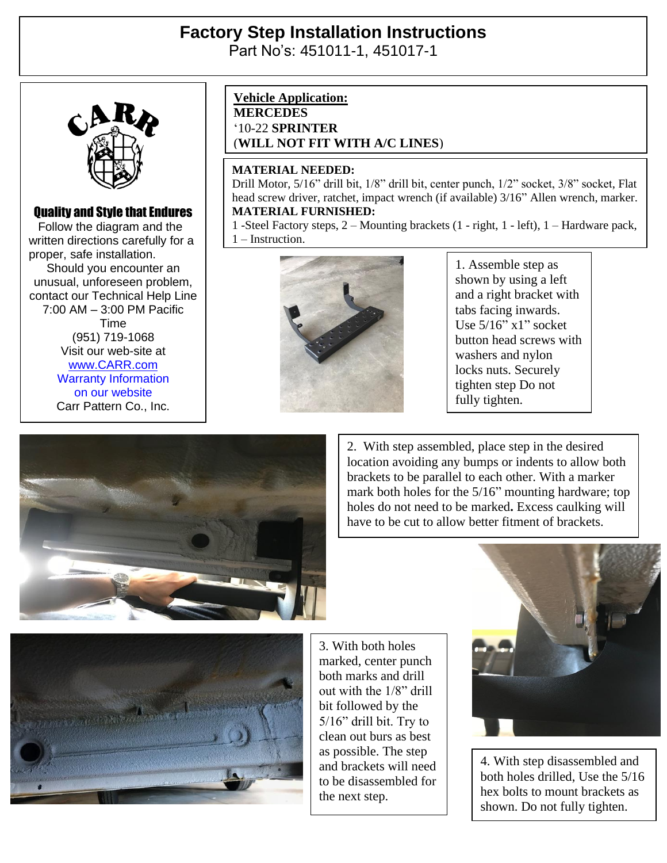# **Factory Step Installation Instructions**

Part No's: 451011-1, 451017-1



### Quality and Style that Endures

 Follow the diagram and the written directions carefully for a proper, safe installation. Should you encounter an unusual, unforeseen problem, contact our Technical Help Line 7:00 AM – 3:00 PM Pacific Time (951) 719-1068 Visit our web-site at [www.CARR.com](http://www.carr.com/) Warranty Information on our website Carr Pattern Co., Inc.

#### **Vehicle Application:**

**MERCEDES** '10-22 **SPRINTER** (**WILL NOT FIT WITH A/C LINES**)

#### **MATERIAL NEEDED:**

Drill Motor, 5/16" drill bit, 1/8" drill bit, center punch, 1/2" socket, 3/8" socket, Flat head screw driver, ratchet, impact wrench (if available) 3/16" Allen wrench, marker. **MATERIAL FURNISHED:**

1 -Steel Factory steps, 2 – Mounting brackets (1 - right, 1 - left), 1 – Hardware pack, 1 – Instruction.



1. Assemble step as shown by using a left and a right bracket with tabs facing inwards. Use 5/16" x1" socket button head screws with washers and nylon locks nuts. Securely tighten step Do not fully tighten.



2. With step assembled, place step in the desired location avoiding any bumps or indents to allow both brackets to be parallel to each other. With a marker mark both holes for the 5/16" mounting hardware; top holes do not need to be marked**.** Excess caulking will have to be cut to allow better fitment of brackets.



3. With both holes marked, center punch both marks and drill out with the 1/8" drill bit followed by the 5/16" drill bit. Try to clean out burs as best as possible. The step and brackets will need to be disassembled for the next step.



4. With step disassembled and both holes drilled, Use the 5/16 hex bolts to mount brackets as shown. Do not fully tighten.